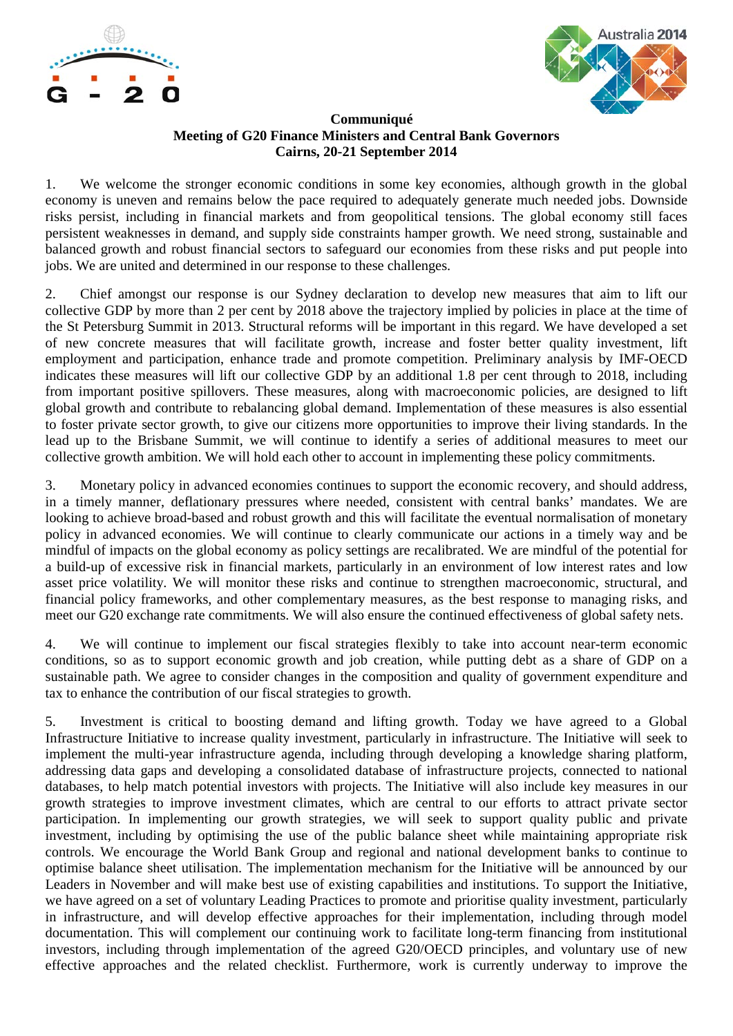



## **Communiqué Meeting of G20 Finance Ministers and Central Bank Governors Cairns, 20-21 September 2014**

1. We welcome the stronger economic conditions in some key economies, although growth in the global economy is uneven and remains below the pace required to adequately generate much needed jobs. Downside risks persist, including in financial markets and from geopolitical tensions. The global economy still faces persistent weaknesses in demand, and supply side constraints hamper growth. We need strong, sustainable and balanced growth and robust financial sectors to safeguard our economies from these risks and put people into jobs. We are united and determined in our response to these challenges.

2. Chief amongst our response is our Sydney declaration to develop new measures that aim to lift our collective GDP by more than 2 per cent by 2018 above the trajectory implied by policies in place at the time of the St Petersburg Summit in 2013. Structural reforms will be important in this regard. We have developed a set of new concrete measures that will facilitate growth, increase and foster better quality investment, lift employment and participation, enhance trade and promote competition. Preliminary analysis by IMF-OECD indicates these measures will lift our collective GDP by an additional 1.8 per cent through to 2018, including from important positive spillovers. These measures, along with macroeconomic policies, are designed to lift global growth and contribute to rebalancing global demand. Implementation of these measures is also essential to foster private sector growth, to give our citizens more opportunities to improve their living standards. In the lead up to the Brisbane Summit, we will continue to identify a series of additional measures to meet our collective growth ambition. We will hold each other to account in implementing these policy commitments.

3. Monetary policy in advanced economies continues to support the economic recovery, and should address, in a timely manner, deflationary pressures where needed, consistent with central banks' mandates. We are looking to achieve broad-based and robust growth and this will facilitate the eventual normalisation of monetary policy in advanced economies. We will continue to clearly communicate our actions in a timely way and be mindful of impacts on the global economy as policy settings are recalibrated. We are mindful of the potential for a build-up of excessive risk in financial markets, particularly in an environment of low interest rates and low asset price volatility. We will monitor these risks and continue to strengthen macroeconomic, structural, and financial policy frameworks, and other complementary measures, as the best response to managing risks, and meet our G20 exchange rate commitments. We will also ensure the continued effectiveness of global safety nets.

4. We will continue to implement our fiscal strategies flexibly to take into account near-term economic conditions, so as to support economic growth and job creation, while putting debt as a share of GDP on a sustainable path. We agree to consider changes in the composition and quality of government expenditure and tax to enhance the contribution of our fiscal strategies to growth.

5. Investment is critical to boosting demand and lifting growth. Today we have agreed to a Global Infrastructure Initiative to increase quality investment, particularly in infrastructure. The Initiative will seek to implement the multi-year infrastructure agenda, including through developing a knowledge sharing platform, addressing data gaps and developing a consolidated database of infrastructure projects, connected to national databases, to help match potential investors with projects. The Initiative will also include key measures in our growth strategies to improve investment climates, which are central to our efforts to attract private sector participation. In implementing our growth strategies, we will seek to support quality public and private investment, including by optimising the use of the public balance sheet while maintaining appropriate risk controls. We encourage the World Bank Group and regional and national development banks to continue to optimise balance sheet utilisation. The implementation mechanism for the Initiative will be announced by our Leaders in November and will make best use of existing capabilities and institutions. To support the Initiative, we have agreed on a set of voluntary Leading Practices to promote and prioritise quality investment, particularly in infrastructure, and will develop effective approaches for their implementation, including through model documentation. This will complement our continuing work to facilitate long-term financing from institutional investors, including through implementation of the agreed G20/OECD principles, and voluntary use of new effective approaches and the related checklist. Furthermore, work is currently underway to improve the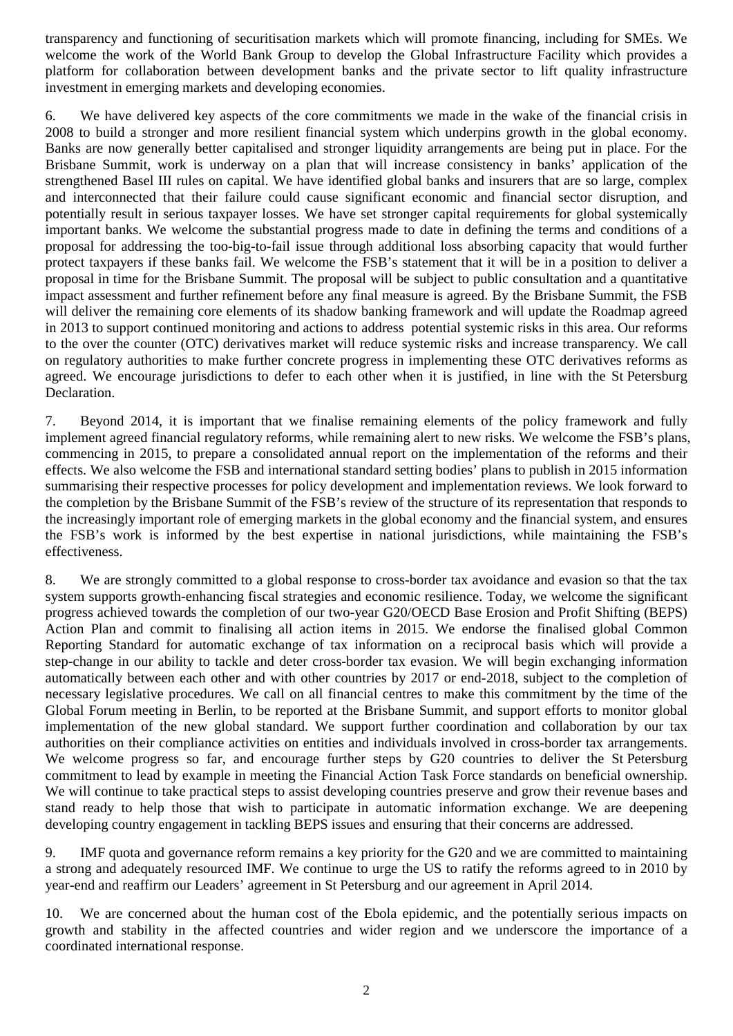transparency and functioning of securitisation markets which will promote financing, including for SMEs. We welcome the work of the World Bank Group to develop the Global Infrastructure Facility which provides a platform for collaboration between development banks and the private sector to lift quality infrastructure investment in emerging markets and developing economies.

6. We have delivered key aspects of the core commitments we made in the wake of the financial crisis in 2008 to build a stronger and more resilient financial system which underpins growth in the global economy. Banks are now generally better capitalised and stronger liquidity arrangements are being put in place. For the Brisbane Summit, work is underway on a plan that will increase consistency in banks' application of the strengthened Basel III rules on capital. We have identified global banks and insurers that are so large, complex and interconnected that their failure could cause significant economic and financial sector disruption, and potentially result in serious taxpayer losses. We have set stronger capital requirements for global systemically important banks. We welcome the substantial progress made to date in defining the terms and conditions of a proposal for addressing the too-big-to-fail issue through additional loss absorbing capacity that would further protect taxpayers if these banks fail. We welcome the FSB's statement that it will be in a position to deliver a proposal in time for the Brisbane Summit. The proposal will be subject to public consultation and a quantitative impact assessment and further refinement before any final measure is agreed. By the Brisbane Summit, the FSB will deliver the remaining core elements of its shadow banking framework and will update the Roadmap agreed in 2013 to support continued monitoring and actions to address potential systemic risks in this area. Our reforms to the over the counter (OTC) derivatives market will reduce systemic risks and increase transparency. We call on regulatory authorities to make further concrete progress in implementing these OTC derivatives reforms as agreed. We encourage jurisdictions to defer to each other when it is justified, in line with the St Petersburg Declaration.

7. Beyond 2014, it is important that we finalise remaining elements of the policy framework and fully implement agreed financial regulatory reforms, while remaining alert to new risks. We welcome the FSB's plans, commencing in 2015, to prepare a consolidated annual report on the implementation of the reforms and their effects. We also welcome the FSB and international standard setting bodies' plans to publish in 2015 information summarising their respective processes for policy development and implementation reviews. We look forward to the completion by the Brisbane Summit of the FSB's review of the structure of its representation that responds to the increasingly important role of emerging markets in the global economy and the financial system, and ensures the FSB's work is informed by the best expertise in national jurisdictions, while maintaining the FSB's effectiveness.

8. We are strongly committed to a global response to cross-border tax avoidance and evasion so that the tax system supports growth-enhancing fiscal strategies and economic resilience. Today, we welcome the significant progress achieved towards the completion of our two-year G20/OECD Base Erosion and Profit Shifting (BEPS) Action Plan and commit to finalising all action items in 2015. We endorse the finalised global Common Reporting Standard for automatic exchange of tax information on a reciprocal basis which will provide a step-change in our ability to tackle and deter cross-border tax evasion. We will begin exchanging information automatically between each other and with other countries by 2017 or end-2018, subject to the completion of necessary legislative procedures. We call on all financial centres to make this commitment by the time of the Global Forum meeting in Berlin, to be reported at the Brisbane Summit, and support efforts to monitor global implementation of the new global standard. We support further coordination and collaboration by our tax authorities on their compliance activities on entities and individuals involved in cross-border tax arrangements. We welcome progress so far, and encourage further steps by G20 countries to deliver the St Petersburg commitment to lead by example in meeting the Financial Action Task Force standards on beneficial ownership. We will continue to take practical steps to assist developing countries preserve and grow their revenue bases and stand ready to help those that wish to participate in automatic information exchange. We are deepening developing country engagement in tackling BEPS issues and ensuring that their concerns are addressed.

9. IMF quota and governance reform remains a key priority for the G20 and we are committed to maintaining a strong and adequately resourced IMF. We continue to urge the US to ratify the reforms agreed to in 2010 by year-end and reaffirm our Leaders' agreement in St Petersburg and our agreement in April 2014.

10. We are concerned about the human cost of the Ebola epidemic, and the potentially serious impacts on growth and stability in the affected countries and wider region and we underscore the importance of a coordinated international response.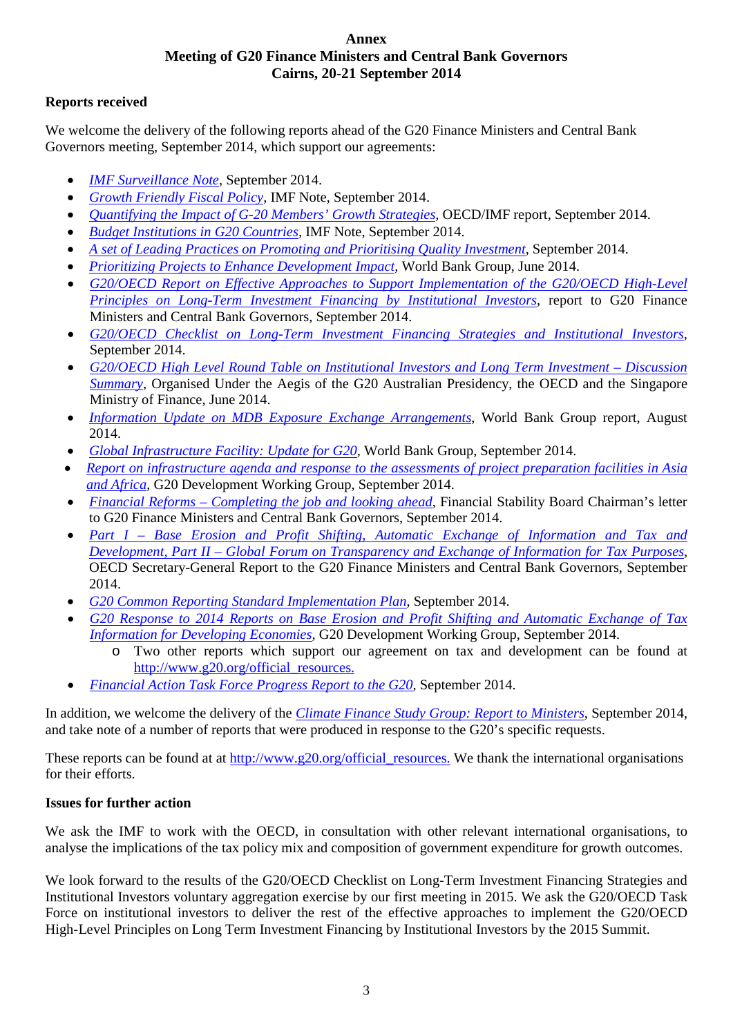## **Annex Meeting of G20 Finance Ministers and Central Bank Governors Cairns, 20-21 September 2014**

## **Reports received**

We welcome the delivery of the following reports ahead of the G20 Finance Ministers and Central Bank Governors meeting, September 2014, which support our agreements:

- *IMF Surveillance Note*, September 2014.
- *[Growth Friendly Fiscal Policy,](https://www.g20.org/sites/default/files/g20_resources/library/2%20Growth%20Friendly%20Fiscal%20Policy%20-%20IMF%20Note.pdf)* IMF Note, September 2014.
- *[Quantifying the Impact of G-20 Members' Growth Strategies,](https://www.g20.org/sites/default/files/g20_resources/library/3%20Quantifying%20the%20Impact%20of%20G-20%20Members%20Growth%20Strategies%20-%20OECD_IMF%20report.pdf) OECD/IMF report, September 2014.*
- *[Budget Institutions in G20 Countries,](https://www.g20.org/sites/default/files/g20_resources/library/4%20Budget%20Institutions%20in%20G20%20Countries%20-%20IMF%20note.pdf)* IMF Note, September 2014.
- *[A set of Leading Practices on Promoting and Prioritising Quality Investment](https://www.g20.org/sites/default/files/g20_resources/library/5%20A%20set%20of%20Leading%20Practices%20on%20Promoting%20and%20Prioritising%20Quality%20Investment.pdf), September 2014.*
- *Prioritizing Projects to Enhance Development Impact*, World Bank Group, June 2014.
- *[G20/OECD Report on Effective Approaches to Support Implementation of the G20/OECD High-Level](https://www.g20.org/sites/default/files/g20_resources/library/7.1%20G20-OECD%20Report%20on%20Effective%20Approaches%20to%20Support%20Implementation%20of%20the%20G20-OECD%20High-Level%20Principles.pdf)  Principles on [Long-Term Investment Financing by Institutional Investors](https://www.g20.org/sites/default/files/g20_resources/library/7.1%20G20-OECD%20Report%20on%20Effective%20Approaches%20to%20Support%20Implementation%20of%20the%20G20-OECD%20High-Level%20Principles.pdf)*, report to G20 Finance Ministers and Central Bank Governors, September 2014.
- *[G20/OECD Checklist on Long-Term Investment Financing Strategies and Institutional Investors](https://www.g20.org/sites/default/files/g20_resources/library/8%20G20-OECD%20Checklist%20on%20Long-Term%20Investment%20Financing%20Strategies%20and%20Institutional%20Investors.pdf)*, September 2014.
- *[G20/OECD High Level Round Table on Institutional Investors and Long Term Investment –](https://www.g20.org/sites/default/files/g20_resources/library/9%20G20%20OECD%20High%20Level%20Roundtable%20on%20Institutional%20Investors%20Long%20Term%20Investment%204%20June%202014%20Singapore%20Discussion%20summary.pdf) Discussion Summary*, Organised Under the Aegis of the G20 Australian Presidency, the OECD and the Singapore Ministry of Finance, June 2014.
- *[Information Update on MDB Exposure Exchange Arrangements](https://www.g20.org/sites/default/files/g20_resources/library/10%20Information%20Update%20on%20MDB%20Exposure%20Exchange%20Arrangements.pdf)*, World Bank Group report, August 2014.
- *[Global Infrastructure Facility: Update for G20](https://www.g20.org/sites/default/files/g20_resources/library/11%20Global%20Infrastructure%20Facility%20-%20Update%20for%20G20.pdf)*, World Bank Group, September 2014.
- *[Report on infrastructure agenda and response to the assessments of project preparation facilities in](https://www.g20.org/sites/default/files/g20_resources/library/12%20Report%20on%20infrastructure%20agenda%20and%20response%20to%20assessment%20of%20project%20preparation%20facilities%20in%20Asia%20and%20Africa.pdf) Asia [and Africa](https://www.g20.org/sites/default/files/g20_resources/library/12%20Report%20on%20infrastructure%20agenda%20and%20response%20to%20assessment%20of%20project%20preparation%20facilities%20in%20Asia%20and%20Africa.pdf)*, G20 Development Working Group, September 2014.
- *Financial Reforms – [Completing the job and looking ahead](https://www.g20.org/sites/default/files/g20_resources/library/13%20Financial%20Reforms%20-%20Completing%20the%20job%20and%20looking%20ahead.pdf)*, Financial Stability Board Chairman's letter to G20 Finance Ministers and Central Bank Governors, September 2014.
- *Part I – [Base Erosion and Profit Shifting, Automatic Exchange of Information and Tax and](https://www.g20.org/sites/default/files/g20_resources/library/14%20Part%20I%20-%20Base%20Erosion%20and%20Profit%20Shifting...and%20Part%20II%20-%20Global%20Forum.pdf)  Development, Part II – [Global Forum on Transparency and Exchange of Information for Tax Purposes](https://www.g20.org/sites/default/files/g20_resources/library/14%20Part%20I%20-%20Base%20Erosion%20and%20Profit%20Shifting...and%20Part%20II%20-%20Global%20Forum.pdf)*, OECD Secretary-General Report to the G20 Finance Ministers and Central Bank Governors, September 2014.
- *[G20 Common Reporting Standard Implementation Plan](https://www.g20.org/sites/default/files/g20_resources/library/15%20Common%20Reporting%20Standard%20Implementation%20Plan.pdf)*, September 2014.
- *[G20 Response to 2014 Reports on Base Erosion and Profit Shifting and Automatic Exchange of Tax](https://www.g20.org/sites/default/files/g20_resources/library/16%20G20%20response%20to%202014%20reports%20on%20BEPS%20and%20AEOI%20for%20developing%20economies.pdf)  [Information for Developing Economies,](https://www.g20.org/sites/default/files/g20_resources/library/16%20G20%20response%20to%202014%20reports%20on%20BEPS%20and%20AEOI%20for%20developing%20economies.pdf)* G20 Development Working Group, September 2014.
	- o Two other reports which support our agreement on tax and development can be found at [http://www.g20.org/official\\_resources.](http://www.g20.org/official_resources)
- *[Financial Action Task Force Progress Report to the G20,](https://www.g20.org/sites/default/files/g20_resources/library/17%20Financial%20Action%20Task%20Force%20Progress%20Report%20to%20the%20G20.pdf)* September 2014.

In addition, we welcome the delivery of the *[Climate Finance Study Group: Report to Ministers](https://www.g20.org/sites/default/files/g20_resources/library/18%20Climate%20Finance%20Study%20Group%20-%20Report%20to%20Ministers.pdf)*, September 2014, and take note of a number of reports that were produced in response to the G20's specific requests.

These reports can be found at at [http://www.g20.org/official\\_resources.](http://www.g20.org/official_resources) We thank the international organisations for their efforts.

## **Issues for further action**

We ask the IMF to work with the OECD, in consultation with other relevant international organisations, to analyse the implications of the tax policy mix and composition of government expenditure for growth outcomes.

We look forward to the results of the G20/OECD Checklist on Long-Term Investment Financing Strategies and Institutional Investors voluntary aggregation exercise by our first meeting in 2015. We ask the G20/OECD Task Force on institutional investors to deliver the rest of the effective approaches to implement the G20/OECD High-Level Principles on Long Term Investment Financing by Institutional Investors by the 2015 Summit.